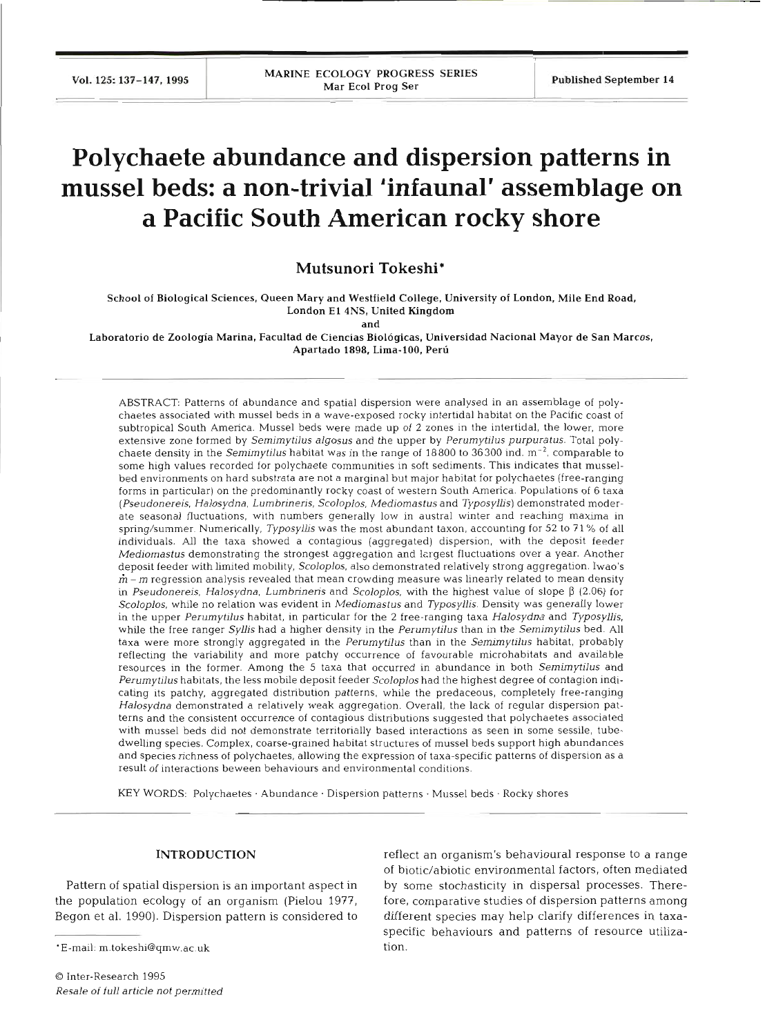# **Polychaete abundance and dispersion patterns in mussel beds: a non-trivial 'infaunal' assemblage on a Pacific South American rocky shore**

**Mutsunori Tokeshi\*** 

School of Biological Sciences, Queen Mary and Westfield College, University of London, Mile End Road, London El 4NS, United Kingdom

and

Laboratorio de Zoologia Marina, Facultad de Ciencias Biologicas, Universidad Nacional Mayor de San Marcos, Apartado 1898, Lima-100, Peru

ABSTRACT: Patterns of abundance and spatial dispersion were analysed in an assemblage of polychaetes associated with mussel beds in a wave-exposed rocky intertidal habitat on the Pacific coast of subtropical South America. Mussel beds were made up of **2** zones in the intertidal, the lower, more extensive zone formed by Semimytilus algosus and the upper by Perumytilus purpuratus. Total polychaete density in the Semimytilus habitat was in the range of  $18800$  to  $36300$  ind.  $m^{-2}$ , comparable to some high values recorded for polychaete communities in soft sediments. This indicates that musselbed environments on hard substrata are not a marginal but major habitat for polychaetes (free-ranging forms in particular) on the predominantly rocky coast of western South America. Populations of 6 taxa (Pseudonereis, Halosydna, Lumbrineris, Scoloplos, Mediomastus and Typosyllis) demonstrated moderate seasonal fluctuations, with numbers generally low in austral winter and reaching maxima in spring/summer. Numerically, Typosyllis was the most abundant taxon, accounting for 52 to 71% of all individuals. All the taxa showed a contagious (aggregated) dispersion, with the deposit feeder Mediomastus demonstrating the strongest aggregation and lergest fluctuations over a year. Another deposit feeder with limited mobility, Scoloplos, also demonstrated relatively strong aggregation. Iwao's  $m - m$  regression analysis revealed that mean crowding measure was linearly related to mean density in Pseudonereis, Halosydna, Lumbrineris and Scoloplos, with the highest value of slope  $\beta$  (2.06) for Scoloplos, while no relation was evident in Mediomastus and Typosyllis. Density was generally lower in the upper Perumytilus habitat, in particular for the 2 free-ranging taxa Halosydna and Typosyllis, while the free ranger Syllis had a higher density in the Perumytilus than in the Semimytilus bed. All taxa were more strongly aggregated in the Perumytilus than in the Semimytilus habitat, probably reflecting the variability and more patchy occurrence of favourable microhabitats and available resources in the former. Among the 5 taxa that occurred in abundance in both Semimytilus and Perumytilus habitats, the less mobile deposit feeder Scoloplos had the highest degree of contagion indicating its patchy, aggregated distribution patterns, while the predaceous, completely free-ranging Halosydna demonstrated a relatively weak aggregation. Overall, the lack of regular dispersion patterns and the consistent occurrence of contagious distributions suggested that polychaetes associated with mussel beds did not demonstrate territorially based interactions as seen in some sessile, tubedwelling species. Complex, coarse-grained habitat structures of mussel beds support high abundances and species richness of polychaetes, allowing the expression of taxa-specific patterns of dispersion as a result of interactions beween behaviours and environmental conditions.

KEY WORDS: Polychaetes . Abundance . Dispersion patterns . Mussel beds . Rocky shores

### **INTRODUCTION**

Pattern of spatial dispersion is an important aspect in the population ecology of an organism (Pielou 1977, Begon et al. 1990). Dispersion pattern is considered to

\*E-mail: m.tokeshi@qmw.ac.uk

reflect an organism's behavioural response to a range of biotic/abiotic environmental factors, often mediated by some stochasticity in dispersal processes. Therefore, comparative studies of dispersion patterns among different species may help clarify differences in taxaspecific behaviours and patterns of resource utilization.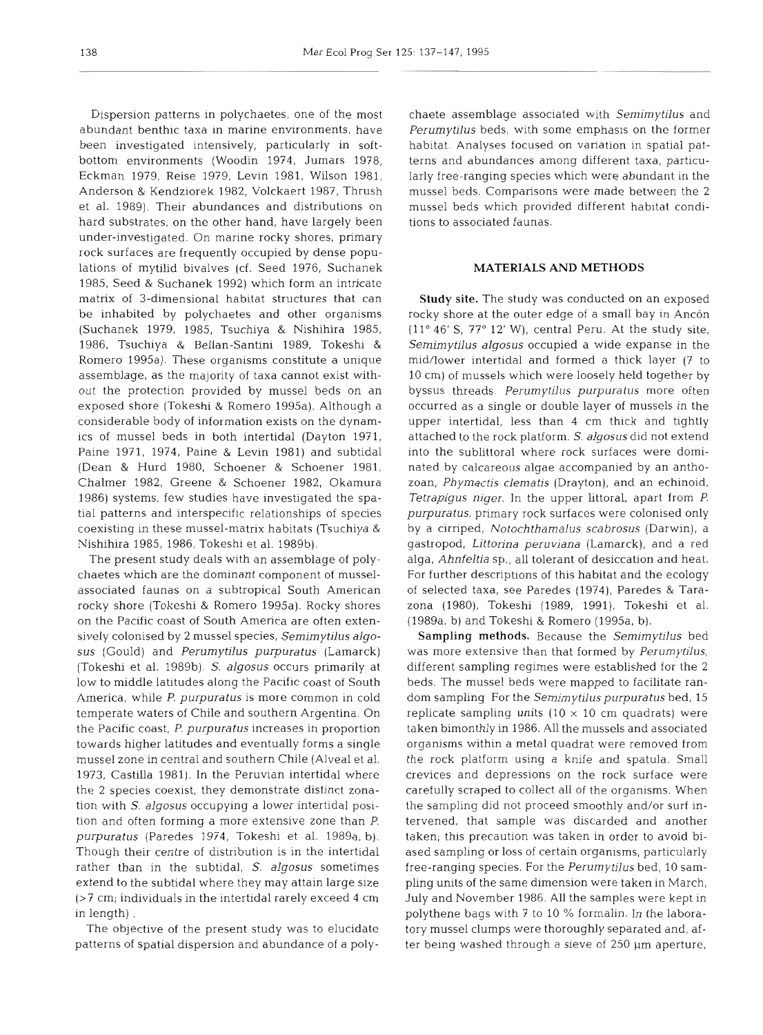Dispersion patterns in polychaetes, one of the most abundant benthic taxa in marine environments, have been investigated intensively, particularly in softbottom environments (Woodin 1974, Jumars 1978, Eckman 1979, Reise 1979, Levin 1981, Wilson 1981, Anderson & Kendziorek 1982, Volckaert 1987, Thrush et al. 1989). Their abundances and distributions on hard substrates, on the other hand, have largely been under-investigated. On marine rocky shores, primary rock surfaces are frequently occupied by dense populations of mytilid bivalves (cf. Seed 1976, Suchanek 1985, Seed & Suchanek 1992) which form an intricate matrix of 3-dimensional habitat structures that can be inhabited by polychaetes and other organisms (Suchanek 1979, 1985, Tsuchiya & Nishihira 1985, 1986, Tsuchiya & Bellan-Santini 1989, Tokeshi & Romero 1995a). These organisms constitute a unique assemblage, as the majority of taxa cannot exist without the protection provided by mussel beds on an exposed shore (Tokeshi & Romero 1995a). Although a considerable body of information exists on the dynamics of mussel beds in both intertidal (Dayton 1971, Paine 1971, 1974, Paine & Levin 1981) and subtidal (Dean & Hurd 1980, Schoener & Schoener 1981, Chalmer 1982, Greene & Schoener 1982, Okamura 1986) systems, few studies have investigated the spatial patterns and interspecific relationships of species coexisting in these mussel-matrix habitats (Tsuchiya & Nishihira 1985, 1986, Tokeshi et al. 1989b).

The present study deals with an assemblage of polychaetes which are the dominant component of musselassociated faunas on a subtropical South American rocky shore (Tokeshi & Romero 1995a). Rocky shores on the Pacific coast of South America are often extensively colonised by 2 mussel species, *Semimytilus algosus* (Gould) and *Perumytilus purpuratus* (Lamarck) (Tokeshi et al. 1989b). *S. algosus* occurs primarily at low to middle latitudes along the Pacific coast of South America, while *P. purpuratus* is more common in cold temperate waters of Chile and southern Argentina. On the Pacific coast, *P. purpuratus* increases in proportion towards higher latitudes and eventually forms a single mussel zone in central and southern Chile (Alveal et al. 1973, Castilla 1981). In the Peruvian intertidal where the 2 species coexist, they demonstrate distinct zonation with S. *algosus* occupying a lower intertidal position and often forming a more extensive zone than *P. purpuratus* (Paredes 1974, Tokeshi et al. 1989a, b). Though their centre of distribution is in the intertidal rather than in the subtidal, *S. algosus* sometimes extend to the subtidal where they may attain large size (>7 cm; individuals in the intertidal rarely exceed 4 cm in length) .

The objective of the present study was to elucidate patterns of spatial dispersion and abundance of a poly-

chaete assemblage associated with *Semimytilus* and Perumytilus beds, with some emphasis on the former<br>habitat. Analyses focused on variation in spatial pat-<br>terns and abundances among different taxa, particu-<br>larly free-ranging species which were abundant in the<br>mussel bed

**MATERIALS AND METHODS**<br>**Study site.** The study was conducted on an exposed<br>rocky shore at the outer edge of a small bay in Ancón<br>(11° 46' S, 77° 12' W), central Peru. At the study site, Semimytilus algosus occupied a wide expanse in the<br>nid/lower intertidal and formed a thick layer (7 to<br>0 cm) of mussels which were loosely held together by<br>yyssus threads. *Perumytilus purpuratus* more often<br>occurred as a Tetrapigus niger. In the upper littoral, apart from *P.*<br>
burpuratus, primary rock surfaces were colonised only<br>
by a cirriped, *Notochthamalus scabrosus* (Darwin), a<br>
gastropod, *Littorina peruviana* (Lamarck), and a red<br>

**Sampling** methods. Because the *Semimytilus* bed was more extensive than that formed by *Perumytilus,* lifferent sampling regimes were established for the 2<br>beds. The mussel beds were mapped to facilitate ran-<br>dom sampling For the *Semimytilus purpuratus* bed, 15<br>eplicate sampling units  $(10 \times 10 \text{ cm} \text{ quadrats})$  were<br>aken bimo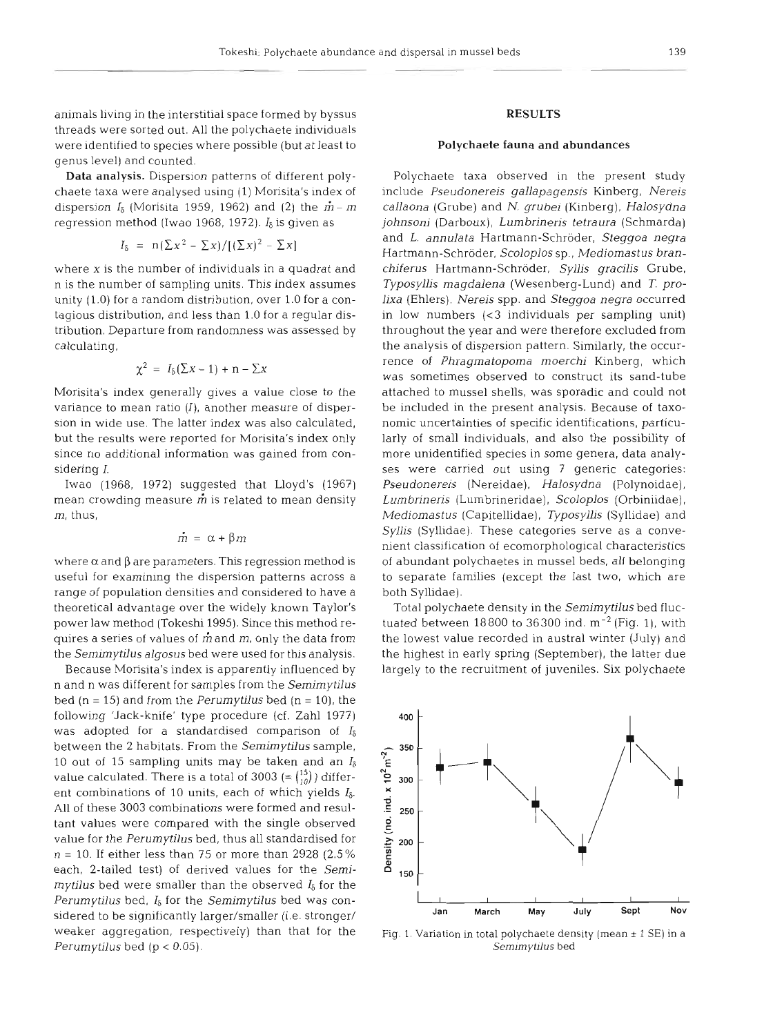animals living in the interstitial space formed by byssus threads were sorted out. All the polychaete individuals were identified to species where possible (but at least to genus level) and counted.

Data analysis. Dispersion patterns of different polychaete taxa were analysed using (1) Morisita's index of dispersion  $I_8$  (Morisita 1959, 1962) and (2) the  $\dot{m}$  -  $m$ regression method (Iwao 1968, 1972). *I6* is given as

$$
I_{\delta} = n(\Sigma x^2 - \Sigma x) / [(\Sigma x)^2 - \Sigma x]
$$

where *X* is the number of individuals in a quadrat and n is the number of sampling units. This index assumes unity (1.0) for a random distribution, over 1.0 for a contagious distribution, and less than 1.0 for a regular distribution. Departure from randomness was assessed by calculating,

$$
\chi^2 = I_8(\Sigma x - 1) + n - \Sigma x
$$

Morisita's index generally gives a value close to the variance to mean ratio  $(I)$ , another measure of dispersion in wide use. The latter index was also calculated, but the results were reported for Morisita's index only since no additional information was gained from considering *I.* 

Iwao (1968, 1972) suggested that Lloyd's (1967) mean crowding measure  $\dot{m}$  is related to mean density m, thus,

$$
\dot{m} = \alpha + \beta m
$$

where  $\alpha$  and  $\beta$  are parameters. This regression method is useful for examining the dispersion patterns across a range of population densities and considered to have a theoretical advantage over the widely known Taylor's power law method (Tokeshi 1995). Since this method requires a series of values of **rfi** and m, only the data from the *Semimytilus algosus* bed were used for this analysis.

Because Morisita's index is apparently influenced by n and n was different for samples from the *Semimytilus*  bed (n = 15) and from the *Perumytilus* bed (n = 10), the following 'Jack-knife' type procedure (cf. Zahl 1977) was adopted for a standardised comparison of *Is*  between the 2 habitats. From the *Semirnytilus* sample, 10 out of 15 sampling units may be taken and an *Is*  value calculated. There is a total of 3003 (=  $\binom{15}{10}$ ) different combinations of 10 units, each of which yields *Is.*  All of these 3003 combinations were formed and resultant values were compared with the single observed value for the *Perumytilus* bed, thus all standardised for  $n = 10$ . If either less than 75 or more than 2928 (2.5%) each, 2-tailed test) of derived values for the *Semimytilus* bed were smaller than the observed  $I_{\delta}$  for the *Perurnytilus* bed, *16* for the *Sernirnytilus* bed was considered to be significantly larger/smaller (i.e. stronger/ weaker aggregation, respectively) than that for the *Perumytilus* bed (p < 0.05).

# **RESULTS**

#### Polychaete fauna and abundances

Polychaete taxa observed in the present study include *Pseudonereis gallapagensis* Kinberg, *Nereis callaona* (Grube) and *N. grubei* (Kinberg), *Halosydna johnsoni* (Darboux), *Lurnbrineris tetraura* (Schmarda) and *L. annulata* Hartmann-Schroder, *Steggoa negra*  Hartmann-Schroder, *Scoloplos* sp., *Mediomastus branchiferus* Hartmann-Schroder, *Syllis gracilis* Grube, *Typosyllis magdalena* (Wesenberg-Lund) and *T. prolixa* (Ehlers). *Nereis* spp. and *Steggoa negra* occurred in low numbers **(<3** individuals per sampling unit) throughout the year and were therefore excluded from the analysis of dispersion pattern. Similarly, the occurrence of *Phragmatopoma moerchi* Kinberg, which was sometimes observed to construct its sand-tube attached to mussel shells, was sporadic and could not be included in the present analysis. Because of taxonomic uncertainties of specific identifications, particularly of small individuals, and also the possibility of more unidentified species in some genera, data analyses were carried out using **7** generic categories: *Pseudonereis* (Nereidae), *Halosydna* (Polynoidae), *Lumbrineris* (Lumbrineridae), *Scoloplos* (Orbiniidae), *Mediomastus* (Capitellidae), *Typosyllis* (Syllidae) and Syllis (Syllidae). These categories serve as a convenient classification of ecomorphological characteristics of abundant polychaetes in mussel beds, all belonging to separate families (except the last two, which are both Syllidae).

Total polychaete density in the *Semimytilus* bed fluctuated between 18800 to 36300 ind.  $m^{-2}$  (Fig. 1), with the lowest value recorded in austral winter (July) and the highest in early spring (September), the latter due largely to the recruitment of juveniles. Six polychaete



Fig. 1. Variation in total polychaete density (mean  $\pm$  1 SE) in a *Sernirnyhlus* bed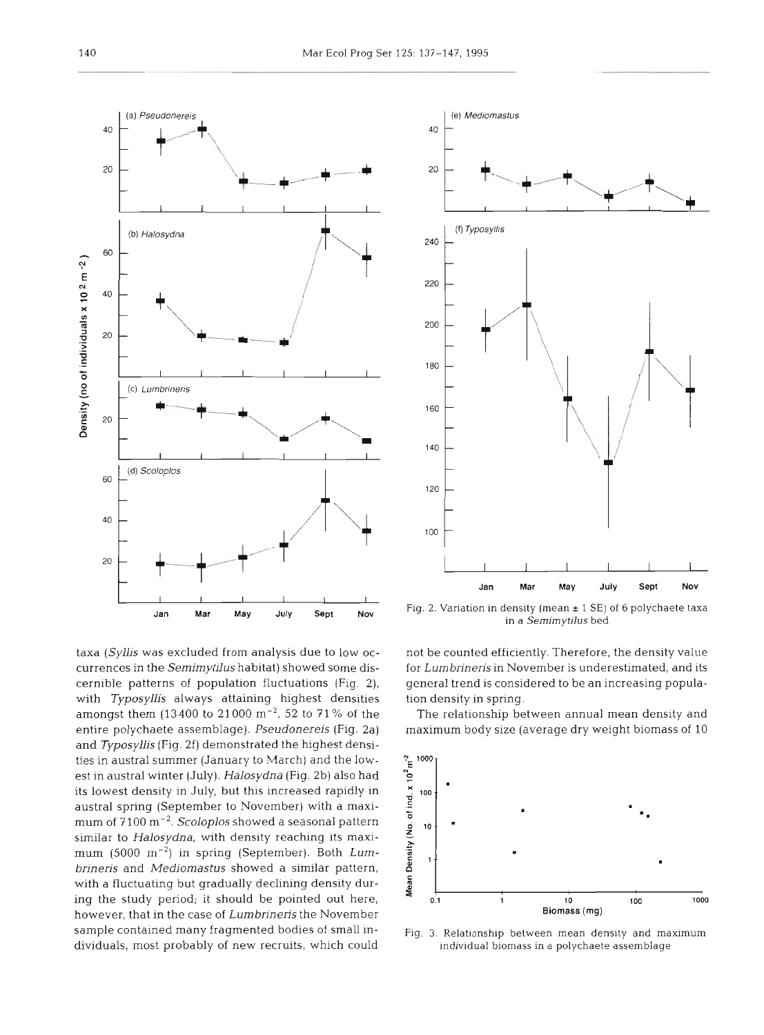

taxa *(Syllis* was excluded from analysis due to low occurrences in the *Semimytilus* habitat) showed some discernible patterns of population fluctuations (Fig. 2). with *Typosyllis* always attaining highest densities amongst them (13400 to 21000 m<sup>-2</sup>, 52 to 71% of the entire polychaete assemblage). *Pseudonereis* (Fig. 2a) and *Typosyllis* (Fig. 2f) demonstrated the highest densities in austral summer (January to March) and the lowest in austral winter (July). *Halosydna* (Fig. 2b) also had its lowest density in July, but this increased rapidly in austral spring (September to November) with a maximum of 7100 m-2. *Scoloplos* showed a seasonal pattern similar to *Halosydna,* with density reaching its maximum (5000 m<sup>-2</sup>) in spring (September). Both *Lumbrineris* and *Mediomastus* showed a similar pattern, with a fluctuating but gradually declining density during the study period; it should be pointed out here, however, that in the case of *Lurnbrineris* the November sample contained many fragmented bodies of small individuals, most probably of new recruits, which could



Fig. 2. Variation in density (mean  $\pm$  1 SE) of 6 polychaete taxa in a **Semimytilus** bed

not be counted efficiently. Therefore, the density value for *Lurnbrineris* in November is underestimated, and its general trend is considered to be an increasing population density in spring.

The relationship between annual mean density and maximum body size (average dry weight biomass of 10



Fig. **3.** Relationship between mean density and maximum individual biomass in a polychaete assemblage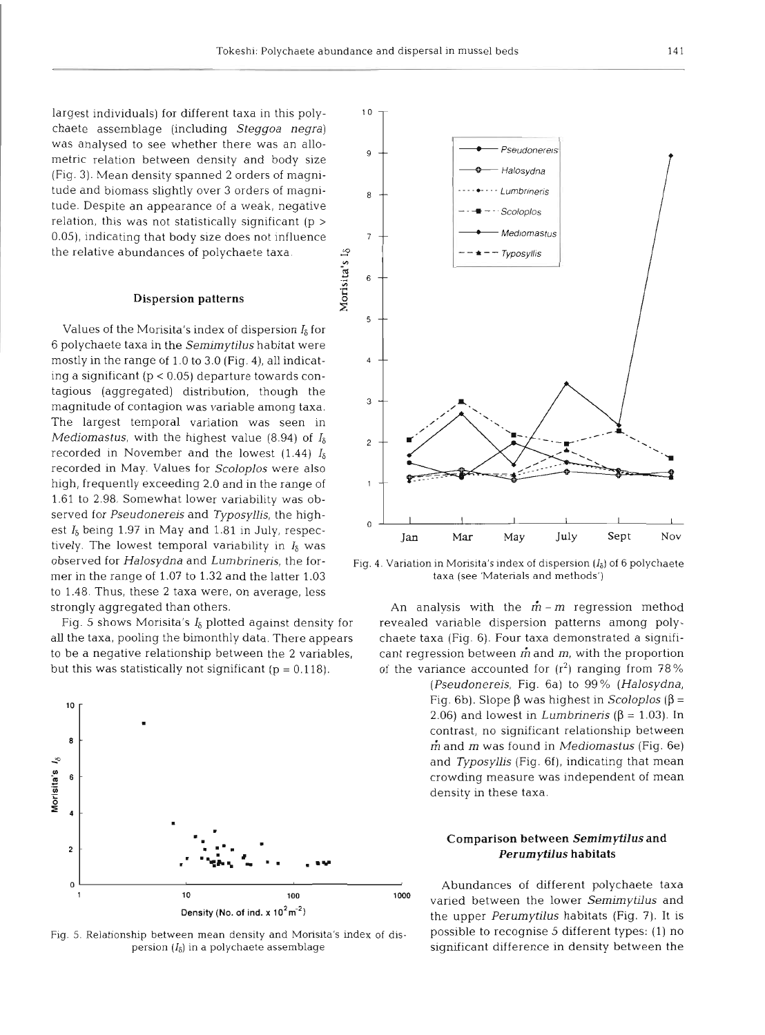Morisita's I<sub>δ</sub>

largest individuals) for different taxa in this polychaete assemblage (including Steggoa negra) was analysed to see whether there was an allometric relation between density and body size (Fig. 3). Mean density spanned 2 orders of magnitude and biomass slightly over 3 orders of magnitude. Despite an appearance of a weak, negative relation, this was not statistically significant ( $p >$ 0.05), indicating that body size does not influence the relative abundances of polychaete taxa.

# **Dispersion patterns**

Values of the Morisita's index of dispersion  $I_8$  for 6 polychaete taxa in the Semimytilus habitat were mostly in the range of 1.0 to 3.0 (Fig. 4), all indicating a significant (p < 0.05) departure towards contagious (aggregated) distribution, though the magnitude of contagion was variable among taxa. The largest temporal variation was seen in Mediomastus, with the highest value (8.94) of  $I_5$ recorded in November and the lowest  $(1.44)$   $I_8$ recorded in May. Values for Scoloplos were also high, frequently exceeding 2.0 and in the range of 1.61 to 2.98. Somewhat lower variability was observed for Pseudonereis and Typosyllis, the highest  $I_5$  being 1.97 in May and 1.81 in July, respectively. The lowest temporal variability in  $I_5$  was observed for Halosydna and Lumbrineris, the former in the range of 1.07 to 1.32 and the latter 1.03 to 1.48. Thus, these 2 taxa were, on average, less strongly aggregated than others.

Fig. 5 shows Morisita's  $I_8$  plotted against density for all the taxa, pooling the bimonthly data. There appears to be a negative relationship between the 2 variables, but this was statistically not significant ( $p = 0.118$ ).







Fig. 4. Variation in Morisita's index of dispersion  $(I_{\delta})$  of 6 polychaete taxa (see 'Materials and methods')

An analysis with the  $\dot{m}$  – m regression method revealed variable dispersion patterns among polychaete taxa (Fig. 6). Four taxa demonstrated a significant regression between  $\vec{m}$  and  $m$ , with the proportion of the variance accounted for  $(r^2)$  ranging from 78%

> (Pseudonereis, Fig. 6a) to 99% (Halosydna, Fig. 6b). Slope  $\beta$  was highest in *Scoloplos* ( $\beta$  = 2.06) and lowest in *Lumbrineris* ( $\beta$  = 1.03). In contrast, no significant relationship between  $\dot{m}$  and  $m$  was found in *Mediomastus* (Fig. 6e) and Typosyllis (Fig. 6f), indicating that mean crowding measure was independent of mean density in these taxa.

# Comparison between Semimytilus and Perumytilus habitats

Abundances of different polychaete taxa varied between the lower Semimytilus and the upper *Perumytilus* habitats (Fig. 7). It is possible to recognise 5 different types: (1) no significant difference in density between the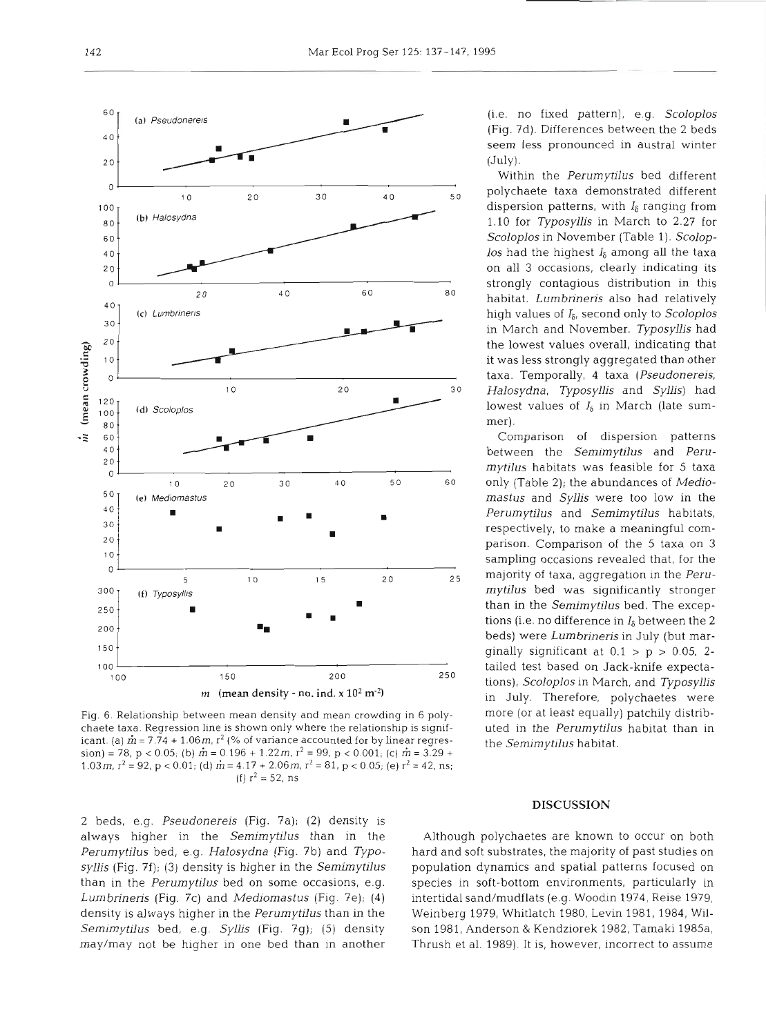

Fig. 6. Relationship between mean density and mean crowding in 6 polychaete taxa. Regression line is shown only where the relationship is significant. (a)  $\dot{m}$  = 7.74 + 1.06 m,  $r^2$  (% of variance accounted for by linear regres $sion$  = 78, p < 0.05; (b)  $m = 0.196 + 1.22m$ ,  $r^2 = 99$ , p < 0.001; (c)  $m = 3.29 +$ 1.03*m*,  $r^2 = 92$ ,  $p < 0.01$ ; (d)  $\dot{m} = 4.17 + 2.06$  *m*,  $r^2 = 81$ ,  $p < 0.05$ ; (e)  $r^2 = 42$ , ns; (f)  $r^2 = 52$ , ns

2 beds, e.g. *Pseudonereis* (Fig. ?a); (2) density is always higher in the *Semirnytilus* than in the *Perurnytilus* bed, e.g. *Halosydna* (Fig. 7b) and *Typosyllis* (Fig. 7f); (3) density is higher in the *Semimytilus*  than in the *Perumytilus* bed on some occasions, e.g. *Lumbrinens* (Fig. 7c) and *Mediomastus* (Fig. 7e); (4) density is always higher in the *Perumytilus* than in the *Semimytilus* bed, e.g. *Syllis* (Fig. ?g); *(5)* density may/may not be higher in one bed than in another

(i.e. no fixed pattern), e.g. *Scoloplos*  (Fig. 7d). Differences between the 2 beds seem less pronounced in austral winter (July).

Within the *Perumytilus* bed different polychaete taxa demonstrated different dispersion patterns, with *I&* ranging from 1.10 for *Typosyllis* in March to 2.27 for *Scoloplos* in November (Table 1). *Scolop-10s* had the highest *Is* among all the taxa on all 3 occasions, clearly indicating its strongly contagious distribution in this habitat. *Lumbrineris* also had relatively high values of *Is,* second only to *Scoloplos*  in March and November. *Typosyllis* had the lowest values overall, indicating that it was less strongly aggregated than other taxa. Temporally, 4 taxa *(Pseudonereis, Halosydna, Typosyllis* and *Syllis)* had lowest values of *Is* in March (late summer).

Comparison *of* dispersion patterns between the *Semimytilus* and *Perumytilus* habitats was feasible for 5 taxa only (Table 2); the abundances of *Mediomastus* and *Syllis* were too low in the *Perumytilus* and *Semimytilus* habitats, respectively, to make a meaningful comparison. Comparison of the 5 taxa on 3 sampling occasions revealed that, for the majority of taxa, aggregation in the *Perumytilus* bed was significantly stronger than in the *Semirnytilus* bed. The exceptions (i.e. no difference in  $I_\delta$  between the 2 beds) were *Lumbrineris* in July (but marginally significant at  $0.1 > p > 0.05$ , 2tailed test based on Jack-knife expectations), *Scoloplos* in March, and *Typosyllis*  in July. Therefore, polychaetes were more (or at least equally) patchily distributed in the *Perumytilus* habitat than in the *Semirnytilus* habitat.

#### **DISCUSSION**

Although polychaetes are known to occur on both hard and soft substrates, the majority of past studies on population dynamics and spatial patterns focused on species in soft-bottom environments, particularly in intertidal sand/mudflats (e.g. Woodin 1974, Reise 1979, Weinberg 1979, Whitlatch 1980, Levin 1981, 1984, Wilson 1981, Anderson & Kendziorek 1982, Tamaki 1985a, Thrush et al. 1989). It is, however, incorrect to assume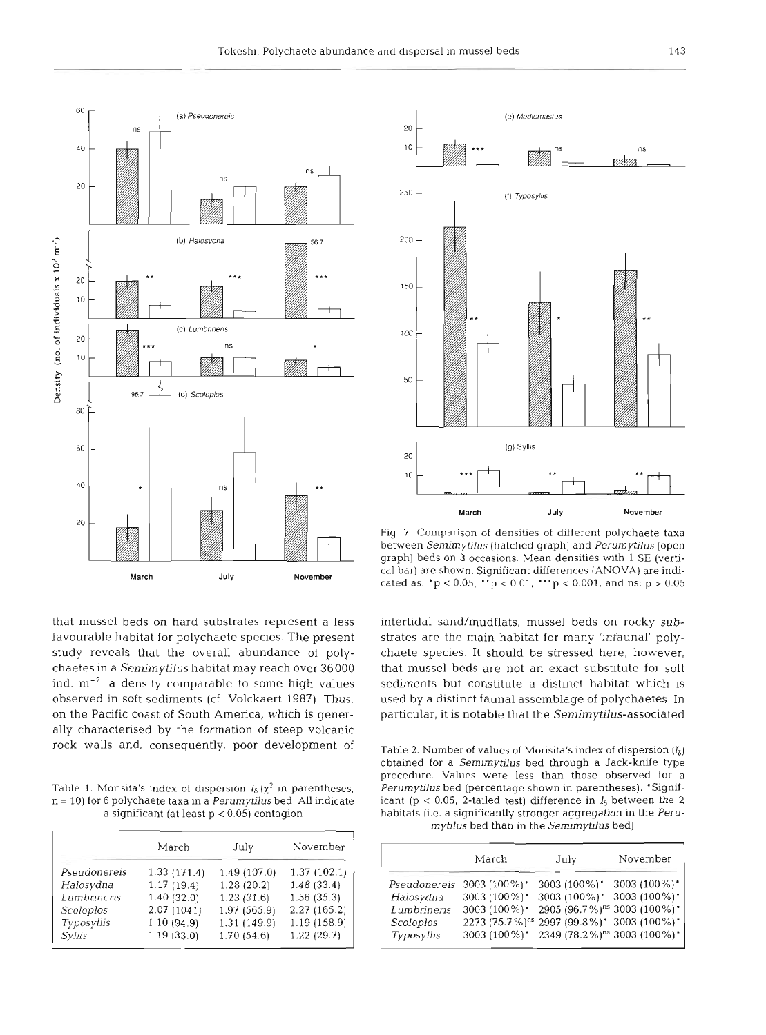

that mussel beds on hard substrates represent a less favourable habitat for polychaete species. The present study reveals that the overall abundance of polychaetes in a Semimytilus habitat may reach over 36000 ind.  $m^{-2}$ , a density comparable to some high values observed in soft sediments (cf. Volckaert 1987). Thus, on the Pacific coast of South America, which is generally characterised by the formation of steep volcanic rock walls and, consequently, poor development of

Table 1. Morisita's index of dispersion  $I_8(\chi^2)$  in parentheses, <sup>n</sup>= 10) for 6 polychaete taxa in a *Perumytilus* bed. All indicate a significant (at least p **i** 0.05) contagion

|              | March       | July         | November    |
|--------------|-------------|--------------|-------------|
| Pseudonereis | 1.33(171.4) | 1.49(107.0)  | 1.37(102.1) |
| Halosydna    | 1.17(19.4)  | 1.28(20.2)   | 1.48(33.4)  |
| Lumbrineris  | 1.40(32.0)  | 1.23(31.6)   | 1.56(35.3)  |
| Scoloplos    | 2.07(1041)  | 1.97 (565.9) | 2.27(165.2) |
| Typosyllis   | 1.10(94.9)  | 1.31(149.9)  | 1.19(158.9) |
| Syllis       | 1.19(33.0)  | 1.70(54.6)   | 1.22(29.7)  |



Fig. 7 Comparison of densities of different polychaete taxa between *Semimytilus* (hatched graph) and *Perumytrlus* (open graph) beds on 3 occasions. Mean densities with 1 SE (vertical bar) are shown. Significant differences (ANOVA) are indicated as:  $p < 0.05$ ,  $p < 0.01$ ,  $p < 0.001$ , and ns:  $p > 0.05$ 

intertidal sand/mudflats, mussel beds on rocky substrates are the main habitat for many 'infaunal' polychaete species. It should be stressed here, however, that mussel beds are not an exact substitute for soft sediments but constitute a distinct habitat which is used by a distinct faunal assemblage of polychaetes. In particular, it is notable that the Semimytilus-associated

Table 2. Number of values of Morisita's index of dispersion  $(I_8)$ obtained for a *Semimytilus* bed through a Jack-knife type procedure. Values were less than those observed for a *Perurnytilus* bed (percentage shown in parentheses). 'Significant (p < 0.05, 2-tailed test) difference in  $I_6$  between the 2 habitats (i.e. a significantly stronger aggregation in the *Perumytilus* bed than in the *Sermmytilus* bed)

|              | March                       | July                                                            | November     |
|--------------|-----------------------------|-----------------------------------------------------------------|--------------|
| Pseudonereis | 3003 $(100\%)$ <sup>*</sup> | 3003 (100%)*                                                    | 3003 (100%)* |
| Halosydna    | 3003 (100%)*                | 3003 (100%)*                                                    | 3003 (100%)* |
| Lumbrineris  | 3003 (100%)*                | 2905 (96.7%) <sup>ns</sup> 3003 (100%)*                         |              |
| Scoloplos    |                             | 2273 (75.7%) <sup>ns</sup> 2997 (99.8%)* 3003 (100%)*           |              |
| Typosyllis   |                             | 3003 (100%) 2349 (78.2%) <sup>ns</sup> 3003 (100%) <sup>-</sup> |              |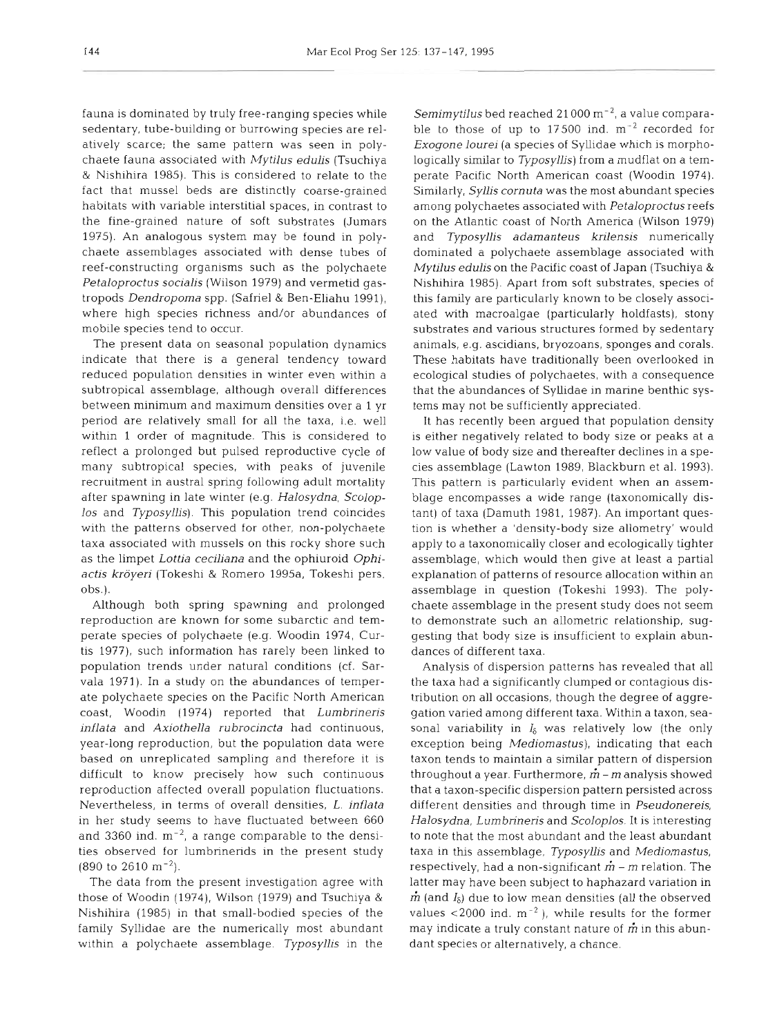fauna is dominated by truly free-ranging species while sedentary, tube-building or burrowing species are relatively scarce; the same pattern was seen in polychaete fauna associated with Mytilus edulis (Tsuchiya & Nishihira 1985). This is considered to relate to the fact that mussel beds are distinctly coarse-grained habitats with variable interstitial spaces, in contrast to the fine-grained nature of soft substrates (Jumars 1975). An analogous system may be found in polychaete assemblages associated with dense tubes of reef-constructing organisms such as the polychaete Petaloproctus socialis (Wilson 1979) and vermetid gastropods Dendropoma spp. (Safriel & Ben-Eliahu 1991), where high species richness and/or abundances of mobile species tend to occur.

The present data on seasonal population dynamics indicate that there is a general tendency toward reduced population densities in winter even within a subtropical assemblage, although overall differences between minimum and maximum densities over a 1 yr period are relatively small for all the taxa, i.e. well within 1 order of magnitude. This is considered to reflect a prolonged but pulsed reproductive cycle of many subtropical species, with peaks of juvenile recruitment in austral spring following adult mortality after spawning in late winter (e.g. Halosydna, Scoloplos and Typosyllis). This population trend coincides with the patterns observed for other, non-polychaete taxa associated with mussels on this rocky shore such as the limpet Lottia ceciliana and the ophiuroid Ophiactis kröyeri (Tokeshi & Romero 1995a, Tokeshi pers. obs.).

Although both spring spawning and prolonged reproduction are known for some subarctic and temperate species of polychaete (e.g. Woodin 1974, Curtis 1977), such information has rarely been linked to population trends under natural conditions (cf. Sarvala 1971). In a study on the abundances of temperate polychaete species on the Pacific North American coast, Woodin (1974) reported that Lumbrineris inflata and Axiothella rubrocincta had continuous. year-long reproduction, but the population data were based on unreplicated sampling and therefore it is difficult to know precisely how such continuous reproduction affected overall population fluctuations. Nevertheless, in terms of overall densities, L. inflata in her study seems to have fluctuated between 660 and 3360 ind.  $m^{-2}$ , a range comparable to the densities observed for lumbrinerids in the present study  $(890 \text{ to } 2610 \text{ m}^{-2}).$ 

The data from the present investigation agree with those of Woodin (1974), Wilson (1979) and Tsuchiya & Nishihira (1985) in that small-bodied species of the family Syllidae are the numerically most abundant within a polychaete assemblage. Typosyllis in the

Semimytilus bed reached  $21000 \text{ m}^{-2}$ , a value comparable to those of up to 17500 ind.  $m^{-2}$  recorded for Exogone lourei (a species of Syllidae which is morphologically similar to Typosyllis) from a mudflat on a temperate Pacific North American coast (Woodin 1974). Similarly, Syllis cornuta was the most abundant species among polychaetes associated with Petaloproctus reefs on the Atlantic coast of North America (Wilson 1979) and Typosyllis adamanteus krilensis numerically dominated a polychaete assemblage associated with Mytilus edulis on the Pacific coast of Japan (Tsuchiya & Nishihira 1985). Apart from soft substrates, species of this family are particularly known to be closely associated with macroalgae (particularly holdfasts), stony substrates and various structures formed by sedentary animals, e.g. ascidians, bryozoans, sponges and corals. These habitats have traditionally been overlooked in ecological studies of polychaetes, with a consequence that the abundances of Syllidae in marine benthic systems may not be sufficiently appreciated.

It has recently been argued that population density is either negatively related to body size or peaks at a low value of body size and thereafter declines in a species assemblage (Lawton 1989, Blackburn et al. 1993). This pattern is particularly evident when an assemblage encompasses a wide range (taxonomically distant) of taxa (Damuth 1981, 1987). An important question is whether a 'density-body size allometry' would apply to a taxonomically closer and ecologically tighter assemblage, which would then give at least a partial explanation of patterns of resource allocation within an assemblage in question (Tokeshi 1993). The polychaete assemblage in the present study does not seem to demonstrate such an allometric relationship, suggesting that body size is insufficient to explain abundances of different taxa.

Analysis of dispersion patterns has revealed that all the taxa had a significantly clumped or contagious distribution on all occasions, though the degree of aggregation varied among different taxa. Within a taxon, seasonal variability in *I6* was relatively low (the only exception being Mediomastus), indicating that each taxon tends to maintain a similar pattern of dispersion throughout a year. Furthermore,  $\dot{m}$  – m analysis showed that a taxon-specific dispersion pattern persisted across different densities and through time in Pseudonereis, Halosydna, Lumbrineris and Scoloplos. It is interesting to note that the most abundant and the least abundant taxa in this assemblage, Typosyllis and Mediomastus, respectively, had a non-significant  $\tilde{m}$  –  $m$  relation. The latter may have been subject to haphazard variation in  $\dot{m}$  (and  $I_5$ ) due to low mean densities (all the observed values  $<$  2000 ind.  $m^{-2}$ ), while results for the former may indicate a truly constant nature of  $\dot{m}$  in this abundant species or alternatively, a chance.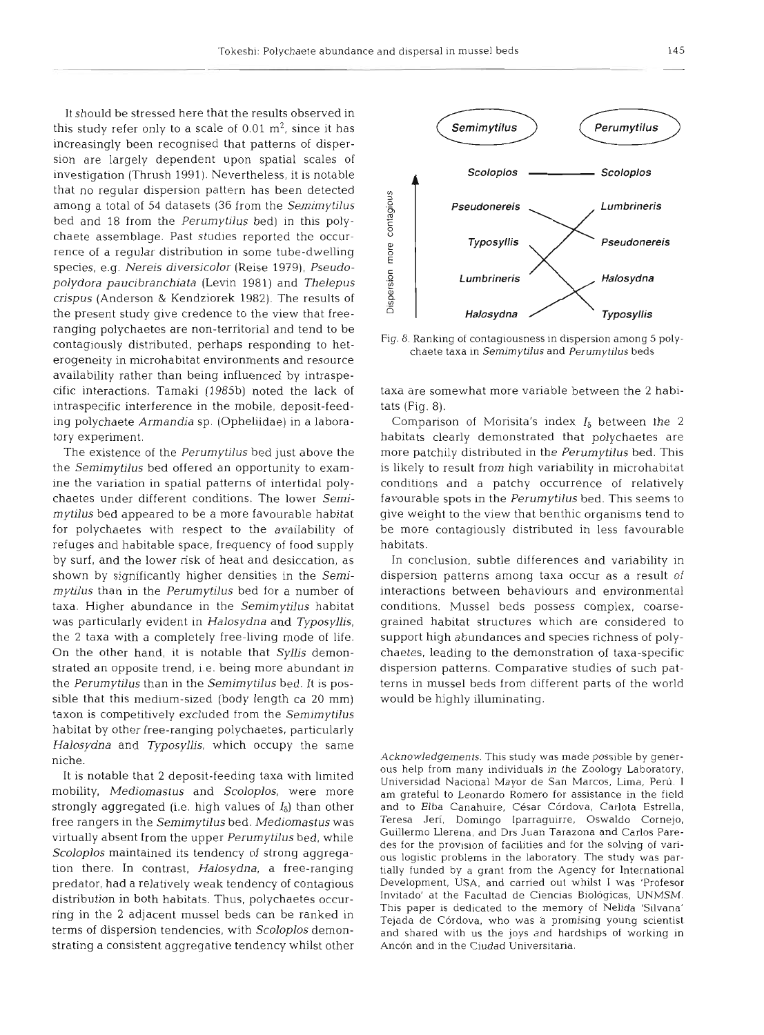It should be stressed here that the results observed in this study refer only to a scale of  $0.01 \text{ m}^2$ , since it has increasingly been recognised that patterns of dispersion are largely dependent upon spatial scales of investigation (Thrush 1991). Nevertheless, it is notable that no regular dispersion pattern has been detected among a total of 54 datasets **(36** from the *Semimytilus*  bed and 18 from the *Perumytilus* bed] in this polychaete assemblage. Past studies reported the occurrence of a regular distribution in some tube-dwelling species, e.g. *Nereis diversicolor* (Reise 1979), *Pseudopolydora paucibranchiata* (Levin 1981) and *Thelepus crispus* (Anderson & Kendziorek 1982). The results of the present study give credence to the view that freeranging polychaetes are non-territorial and tend to be contagiously distributed, perhaps responding to heterogeneity in microhabitat environments and resource availability rather than being influenced by intraspecific interactions. Tamaki (1985b) noted the lack of intraspecific interference in the mobile, deposit-feeding polychaete *Armandia* sp. (Opheliidae) in a laboratory experiment.

The existence of the *Perurnytilus* bed just above the the *Semimytilus* bed offered an opportunity to examine the variation in spatial patterns of intertidal polychaetes under different conditions. The lower *Semimytilus* bed appeared to be a more favourable habitat for polychaetes with respect to the availability of refuges and habitable space, frequency of food supply by surf, and the lower risk of heat and desiccation, as shown by significantly higher densities in the *Semimytilus* than in the *Perurnytilus* bed for a number of taxa. Higher abundance in the *Semirnytilus* habitat was particularly evident in *Halosydna* and *Typosyllis,*  the 2 taxa with a completely free-living mode of life. On the other hand, it is notable that *Syllis* demonstrated an opposite trend, i.e. being more abundant in the *Perumytilus* than in the *Semimytilus* bed. It is possible that this medium-sized (body length ca 20 mm) taxon is competitively excluded from the *Semimytilus*  habitat by other free-ranging polychaetes, particularly *Halosydna* and *Typosyllis,* which occupy the same niche.

It is notable that **2** deposit-feeding taxa with limited mobility, *Mediomastus* and *Scoloplos,* were more strongly aggregated (i.e. high values of *I&)* than other free rangers in the *Semimytilus* bed. *Mediomastus* was virtually absent from the upper *Perumytilus* bed, while *Scoloplos* maintained its tendency of strong aggregation there. In contrast, *Halosydna,* a free-ranging predator, had a relatively weak tendency of contagious distribution in both habitats. Thus, polychaetes occurring in the 2 adjacent mussel beds can be ranked in terms of dispersion tendencies, with *Scoloplos* demonstrating a consistent aggregative tendency whilst other



Fig. 8. Ranking of contagiousness in dispersion among 5 polychaete taxa in Semimytilus and Perumytilus beds

taxa are somewhat more variable between the 2 habitats (Fig. 8).

Comparison of Morisita's index  $I_8$  between the 2 habitats clearly demonstrated that polychaetes are more patchily distributed in the *Perumytilus* bed. This is likely to result from high variability in microhabitat conditions and a patchy occurrence of relatively favourable spots in the *Perumytilus* bed. This seems to give weight to the view that benthic organisms tend to be more contagiously distributed in less favourable habitats.

In conclusion, subtle differences and variability in dispersion patterns among taxa occur as a result of interactions between behaviours and environmental conditions. Mussel beds possess complex, coarsegrained habitat structures which are considered to support high abundances and species richness of polychaetes, leading to the demonstration of taxa-specific dispersion patterns. Comparative studies of such patterns in mussel beds from different parts of the world would be highly illuminating.

Acknowledgements. This study was made possible by generous help from many individuals in the Zoology Laboratory, Universidad Nacional Mayor de San Marcos, Lima, Peru. I am grateful to Leonardo Romero for assistance in the field and to Elba Canahuire, César Córdova, Carlota Estrella, Teresa Jeri, Domingo Iparraguirre, Oswaldo Cornejo, Guillermo Llerena, and Drs Juan Tarazona and Carlos Paredes for the provision of facilities and for the solving of various logistic problems in the laboratory. The study was partially funded by a grant from the Agency for International Development, USA, and carried out whilst I was 'Profesor Invitado' at the Facultad de Ciencias Biológicas, UNMSM. This paper is dedicated to the memory of Nelida 'Silvana' Tejada de Córdova, who was a promising young scientist and shared with us the joys and hardships of working in Ancón and in the Ciudad Universitaria.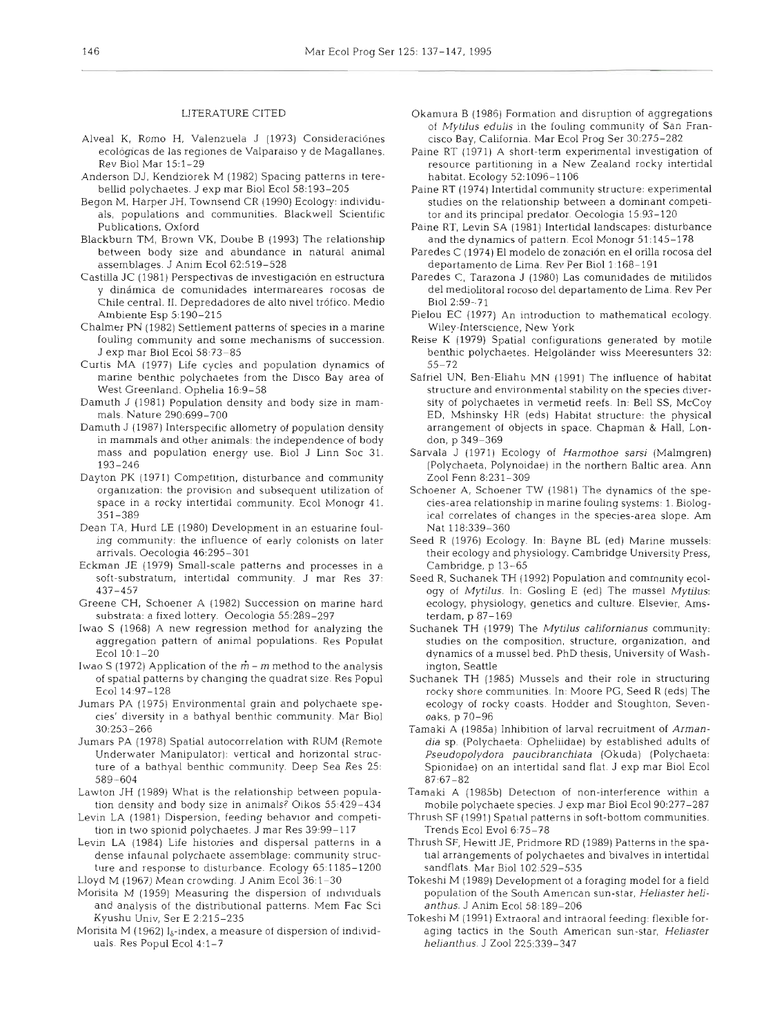# LITERATURE CITED

- Alveal K, Romo H, Valenzuela J (1973) Consideraciónes ecológicas de las regiones de Valparaiso y de Magallanes. Rev Biol Mar 15:1-29
- Anderson DJ, Kendziorek M (1982) Spacing patterns in terebellid polychaetes. J exp mar Biol Ecol 58:193-205
- Begon M, Harper JH, Townsend CR (1990) Ecology: individuals, populations and communities. Blackwell Scientific Publications, Oxford
- Blackburn TM, Brown VK, Doube B (1993) The relationship between body size and abundance in natural animal assemblages. J Anim Ecol 62:519-528
- Castilla JC (1981) Perspectivas de investigación en estructura y dinámica de comunidades intermareares rocosas de Chile central. II. Depredadores de alto nivel trófico. Medio Ambiente Esp 5:190-215
- Chalmer PN (1982) Settlement patterns of species in a marine fouling community and some mechanisms of succession. J exp mar Biol Ecol 58:73-85
- Curtis MA (1977) Life cycles and population dynamics of marine benthic polychaetes from the Disco Bay area of West Greenland. Ophelia 16:9-58
- Damuth J (1981) Population density and body size in mammals. Nature 290:699-700
- Damuth J (1987) Interspecific allometry of population density in mammals and other animals: the independence of body mass and population energy use. Biol J Linn Soc 31. 193-246
- Dayton PK (1971) Competition, disturbance and community organization: the provision and subsequent utilization of space in a rocky intertidal community. Ecol Monogr 41.  $351 - 389$
- Dean TA, Hurd LE (1980) Development in an estuarine fouling community: the influence of early colonists on later arrivals. Oecologia 46:295-301
- Eckman JE (1979) Small-scale patterns and processes in a soft-substratum, intertidal community. J mar Res 37:  $437 - 457$
- Greene CH, Schoener A (1982) Succession on marine hard substrata: a fixed lottery. Oecologia 55:289-297
- Iwao S (1968) A new regression method for analyzing the aggregation pattern of animal populations. Res Populat Ecol 10:1-20
- Iwao S (1972) Application of the  $\dot{m}$  m method to the analysis of spatial patterns by changing the quadrat size. Res Popul Ecol 14:97-128
- Jumars PA (1975) Environmental grain and polychaete species' diversity in a bathyal benthic community. Mar Biol  $30:253 - 266$
- Jumars PA (1978) Spatial autocorrelation with RUM (Remote Underwater Manipulator): vertical and horizontal structure of a bathyal benthic community. Deep Sea Res 25: 589-604
- Lawton JH (1989) What is the relationship between population density and body size in animals? Oikos 55:429-434
- Levin LA (1981) Dispersion, feeding behavior and competition in two spionid polychaetes. J mar Res 39:99-117
- Levin LA (1984) Life histories and dispersal patterns in a dense infaunal polychaete assemblage: community structure and response to disturbance. Ecology 65:1185-1200
- Lloyd M (1967) Mean crowding. J Anim Ecol 36:1–30 Morisita M (1959) Measuring the dispersion of individuals and analysis of the distributional patterns. Mem Fac Sci Kyushu Univ, Ser E 2:215-235
- Morisita M (1962)  $I_{\delta}$ -index, a measure of dispersion of individuals. Res Popul Ecol 4:1-7
- Okamura B (1986) Formation and disruption of aggregations of Mytilus edulis in the fouling community of San Francisco Bay, California. Mar Ecol Prog Ser 30:275-282
- Paine RT (1971) A short-term experimental investigation of resource partitioning in a New Zealand rocky intertidal habitat. Ecology 52:1096-1106
- Paine RT (1974) Intertidal community structure: experimental studies on the relationship between a dominant competitor and its principal predator. Oecologia 15:93-120
- Paine RT, Levin SA (1981) Intertidal landscapes: disturbance and the dynamics of pattern. Ecol Monogr 51:145-178
- Paredes C (1974) El modelo de zonación en el orilla rocosa del departamento de Lima. Rev Per Biol 1:168-191
- Paredes C, Tarazona J (1980) Las comunidades de mitilidos del mediolitoral rocoso del departamento de Lima. Rev Per Biol 2:59-71
- Pielou EC (1977) An introduction to mathematical ecology. Wiley-Interscience, New York
- Reise K (1979) Spatial configurations generated by motile benthic polychaetes. Helgoländer wiss Meeresunters 32:  $55 - 72$
- Safriel UN, Ben-Eliahu MN (1991) The influence of habitat structure and environmental stability on the species diversity of polychaetes in vermetid reefs. In: Bell SS, McCoy ED, Mshinsky HR (eds) Habitat structure: the physical arrangement of objects in space. Chapman & Hall, London, p 349-369
- Sarvala J (1971) Ecology of Harmothoe sarsi (Malmgren) (Polychaeta, Polynoidae) in the northern Baltic area. Ann Zool Fenn 8:231-309
- Schoener A, Schoener TW (1981) The dynamics of the species-area relationship in marine fouling systems: 1. Biological correlates of changes in the species-area slope. Am Nat 118:339-360
- Seed R (1976) Ecology. In: Bayne BL (ed) Marine mussels: their ecology and physiology. Cambridge University Press, Cambridge, p 13-65
- Seed R, Suchanek TH (1992) Population and community ecology of Mytilus. In: Gosling E (ed) The mussel Mytilus: ecology, physiology, genetics and culture. Elsevier, Amsterdam, p 87-169
- Suchanek TH (1979) The Mytilus californianus community: studies on the composition, structure, organization, and dynamics of a mussel bed. PhD thesis, University of Washington, Seattle
- Suchanek TH (1985) Mussels and their role in structuring rocky shore communities. In: Moore PG, Seed R (eds) The ecology of rocky coasts. Hodder and Stoughton, Sevenoaks, p 70-96
- Tamaki A (1985a) Inhibition of larval recruitment of Armandia sp. (Polychaeta: Opheliidae) by established adults of Pseudopolydora paucibranchiata (Okuda) (Polychaeta: Spionidae) on an intertidal sand flat. J exp mar Biol Ecol  $87:67 - 82$
- Tamaki A (1985b) Detection of non-interference within a mobile polychaete species. J exp mar Biol Ecol 90:277-287
- Thrush SF (1991) Spatial patterns in soft-bottom communities. Trends Ecol Evol 6:75-78
- Thrush SF, Hewitt JE, Pridmore RD (1989) Patterns in the spatial arrangements of polychaetes and bivalves in intertidal sandflats. Mar Biol 102:529-535
- Tokeshi M (1989) Development of a foraging model for a field population of the South American sun-star, Heliaster helianthus. J Anim Ecol 58:189-206
- Tokeshi M (1991) Extraoral and intraoral feeding: flexible foraging tactics in the South American sun-star, Heliaster helianthus. J Zool 225:339-347